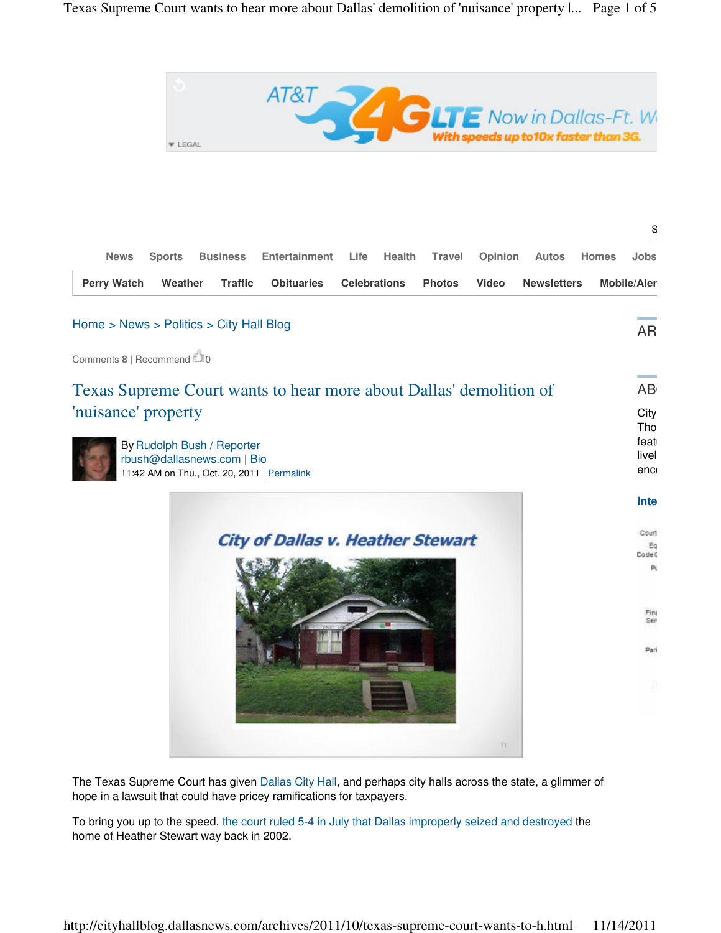

|                                                                                                                                             | S                       |
|---------------------------------------------------------------------------------------------------------------------------------------------|-------------------------|
| <b>Business</b><br>Entertainment<br>Health<br><b>Travel</b><br><b>News</b><br><b>Sports</b><br>Life<br>Opinion<br>Autos                     | Jobs<br><b>Homes</b>    |
| <b>Perry Watch</b><br>Weather<br><b>Traffic</b><br><b>Obituaries</b><br><b>Celebrations</b><br>Video<br><b>Photos</b><br><b>Newsletters</b> | <b>Mobile/Aler</b>      |
| Home > News > Politics > City Hall Blog                                                                                                     | <b>AR</b>               |
| Comments 8   Recommend 20                                                                                                                   |                         |
| Texas Supreme Court wants to hear more about Dallas' demolition of                                                                          | and the state<br>AB     |
| 'nuisance' property                                                                                                                         | City<br>Tho             |
| By Rudolph Bush / Reporter<br>rbush@dallasnews.com   Bio                                                                                    | feat<br>livel           |
| 11:42 AM on Thu., Oct. 20, 2011   Permalink                                                                                                 | enc                     |
|                                                                                                                                             | Inte                    |
| <b>City of Dallas v. Heather Stewart</b>                                                                                                    | Court<br>Eq             |
|                                                                                                                                             | Code <sup>(</sup><br>P. |
|                                                                                                                                             | Fin                     |
|                                                                                                                                             | Ser                     |
|                                                                                                                                             | Pari                    |
|                                                                                                                                             |                         |
|                                                                                                                                             |                         |
| H.                                                                                                                                          |                         |

The Texas Supreme Court has given Dallas City Hall, and perhaps city halls across the state, a glimmer of hope in a lawsuit that could have pricey ramifications for taxpayers.

To bring you up to the speed, the court ruled 5-4 in July that Dallas improperly seized and destroyed the home of Heather Stewart way back in 2002.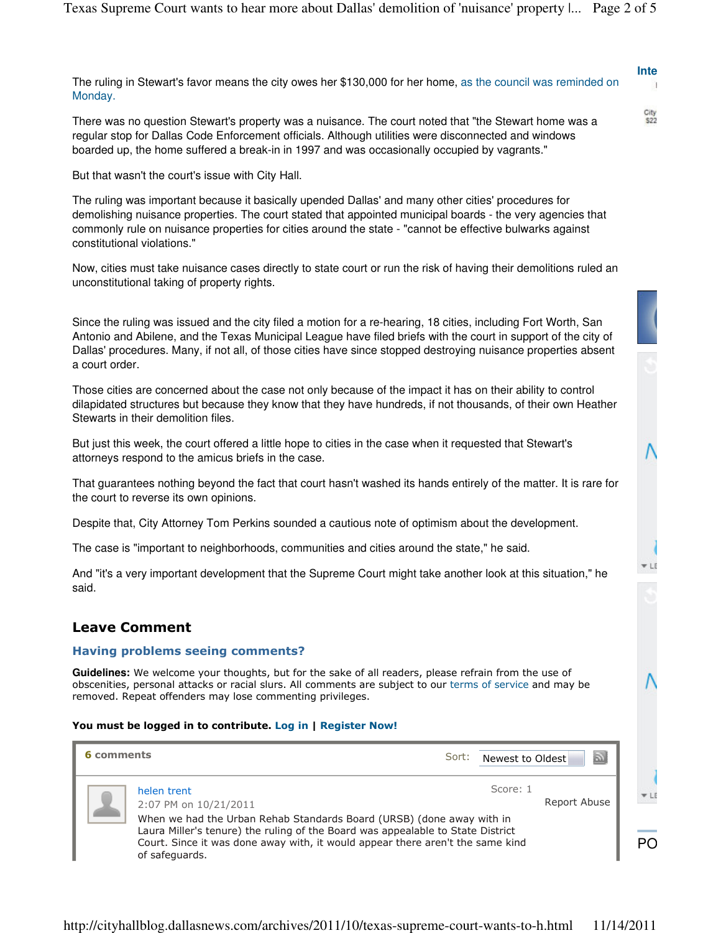|                                                                                                              | Inte |
|--------------------------------------------------------------------------------------------------------------|------|
| The ruling in Stewart's favor means the city owes her \$130,000 for her home, as the council was reminded on |      |
| Monday.                                                                                                      |      |

City<br>\$22

 $+<sub>LI</sub>$ 

There was no question Stewart's property was a nuisance. The court noted that "the Stewart home was a regular stop for Dallas Code Enforcement officials. Although utilities were disconnected and windows boarded up, the home suffered a break-in in 1997 and was occasionally occupied by vagrants."

But that wasn't the court's issue with City Hall.

The ruling was important because it basically upended Dallas' and many other cities' procedures for demolishing nuisance properties. The court stated that appointed municipal boards - the very agencies that commonly rule on nuisance properties for cities around the state - "cannot be effective bulwarks against constitutional violations."

Now, cities must take nuisance cases directly to state court or run the risk of having their demolitions ruled an unconstitutional taking of property rights.

Since the ruling was issued and the city filed a motion for a re-hearing, 18 cities, including Fort Worth, San Antonio and Abilene, and the Texas Municipal League have filed briefs with the court in support of the city of Dallas' procedures. Many, if not all, of those cities have since stopped destroying nuisance properties absent a court order.

Those cities are concerned about the case not only because of the impact it has on their ability to control dilapidated structures but because they know that they have hundreds, if not thousands, of their own Heather Stewarts in their demolition files.

But just this week, the court offered a little hope to cities in the case when it requested that Stewart's attorneys respond to the amicus briefs in the case.

That guarantees nothing beyond the fact that court hasn't washed its hands entirely of the matter. It is rare for the court to reverse its own opinions.

Despite that, City Attorney Tom Perkins sounded a cautious note of optimism about the development.

The case is "important to neighborhoods, communities and cities around the state," he said.

And "it's a very important development that the Supreme Court might take another look at this situation," he said.

## Leave Comment

## Having problems seeing comments?

**Guidelines:** We welcome your thoughts, but for the sake of all readers, please refrain from the use of obscenities, personal attacks or racial slurs. All comments are subject to our terms of service and may be removed. Repeat offenders may lose commenting privileges.

## You must be logged in to contribute. Log in | Register Now!

| 6 comments |                                                                                                                                                                                     | Sort: | $\bar{\Delta}$<br>Newest to Oldest |                         |
|------------|-------------------------------------------------------------------------------------------------------------------------------------------------------------------------------------|-------|------------------------------------|-------------------------|
|            | helen trent<br>2:07 PM on 10/21/2011<br>When we had the Urban Rehab Standards Board (URSB) (done away with in                                                                       |       | Score: 1<br>Report Abuse           | $\blacktriangledown$ Li |
|            | Laura Miller's tenure) the ruling of the Board was appealable to State District<br>Court. Since it was done away with, it would appear there aren't the same kind<br>of safeguards. |       |                                    | PO                      |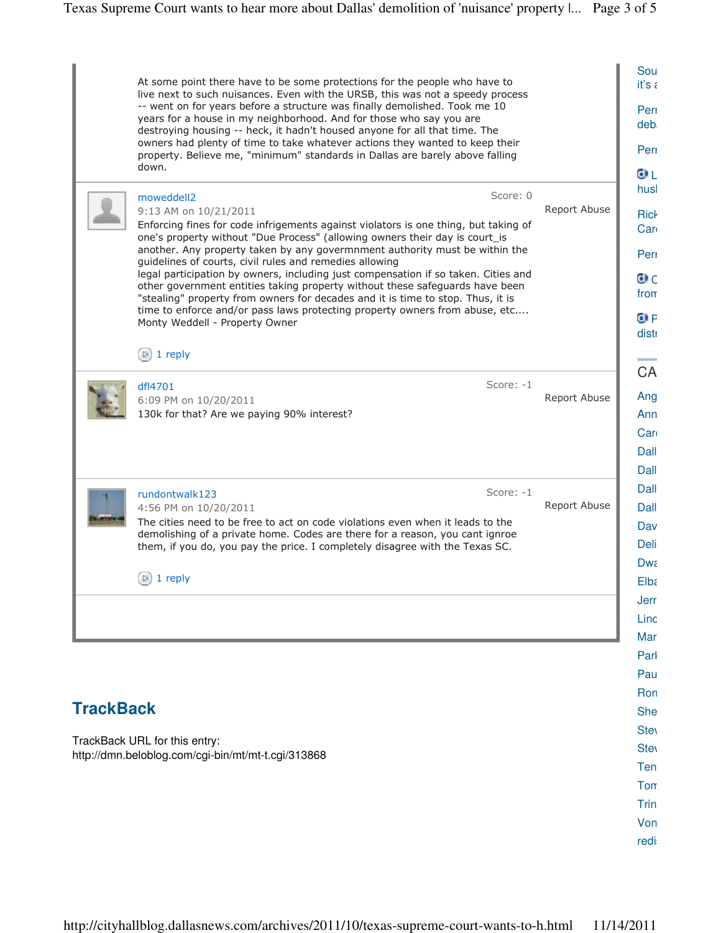|                  | At some point there have to be some protections for the people who have to<br>live next to such nuisances. Even with the URSB, this was not a speedy process    |              |
|------------------|-----------------------------------------------------------------------------------------------------------------------------------------------------------------|--------------|
|                  | -- went on for years before a structure was finally demolished. Took me 10                                                                                      |              |
|                  | years for a house in my neighborhood. And for those who say you are<br>destroying housing -- heck, it hadn't housed anyone for all that time. The               |              |
|                  | owners had plenty of time to take whatever actions they wanted to keep their                                                                                    |              |
|                  | property. Believe me, "minimum" standards in Dallas are barely above falling<br>down.                                                                           |              |
|                  |                                                                                                                                                                 |              |
|                  | Score: 0<br>moweddell2<br>9:13 AM on 10/21/2011                                                                                                                 | Report Abuse |
|                  | Enforcing fines for code infrigements against violators is one thing, but taking of                                                                             |              |
|                  | one's property without "Due Process" (allowing owners their day is court_is                                                                                     |              |
|                  | another. Any property taken by any govermnment authority must be within the<br>guidelines of courts, civil rules and remedies allowing                          |              |
|                  | legal participation by owners, including just compensation if so taken. Cities and                                                                              |              |
|                  | other government entities taking property without these safeguards have been<br>"stealing" property from owners for decades and it is time to stop. Thus, it is |              |
|                  | time to enforce and/or pass laws protecting property owners from abuse, etc                                                                                     |              |
|                  | Monty Weddell - Property Owner                                                                                                                                  |              |
|                  | $\left(\triangleright\right)$ 1 reply                                                                                                                           |              |
|                  |                                                                                                                                                                 |              |
|                  | Score: -1<br>dfl4701<br>6:09 PM on 10/20/2011                                                                                                                   | Report Abuse |
|                  | 130k for that? Are we paying 90% interest?                                                                                                                      |              |
|                  |                                                                                                                                                                 |              |
|                  |                                                                                                                                                                 |              |
|                  |                                                                                                                                                                 |              |
|                  | Score: $-1$<br>rundontwalk123                                                                                                                                   |              |
|                  | 4:56 PM on 10/20/2011                                                                                                                                           | Report Abuse |
|                  | The cities need to be free to act on code violations even when it leads to the<br>demolishing of a private home. Codes are there for a reason, you cant ignroe  |              |
|                  | them, if you do, you pay the price. I completely disagree with the Texas SC.                                                                                    |              |
|                  |                                                                                                                                                                 |              |
|                  | 1 reply<br>$\mathbb{P}$ )                                                                                                                                       |              |
|                  |                                                                                                                                                                 |              |
|                  |                                                                                                                                                                 |              |
|                  |                                                                                                                                                                 |              |
|                  |                                                                                                                                                                 |              |
|                  |                                                                                                                                                                 |              |
| <b>TrackBack</b> |                                                                                                                                                                 |              |
|                  |                                                                                                                                                                 |              |
|                  | TrackBack URL for this entry:                                                                                                                                   |              |
|                  | http://dmn.beloblog.com/cgi-bin/mt/mt-t.cgi/313868                                                                                                              |              |
|                  |                                                                                                                                                                 |              |
|                  |                                                                                                                                                                 |              |
|                  |                                                                                                                                                                 |              |
|                  |                                                                                                                                                                 |              |
|                  |                                                                                                                                                                 |              |